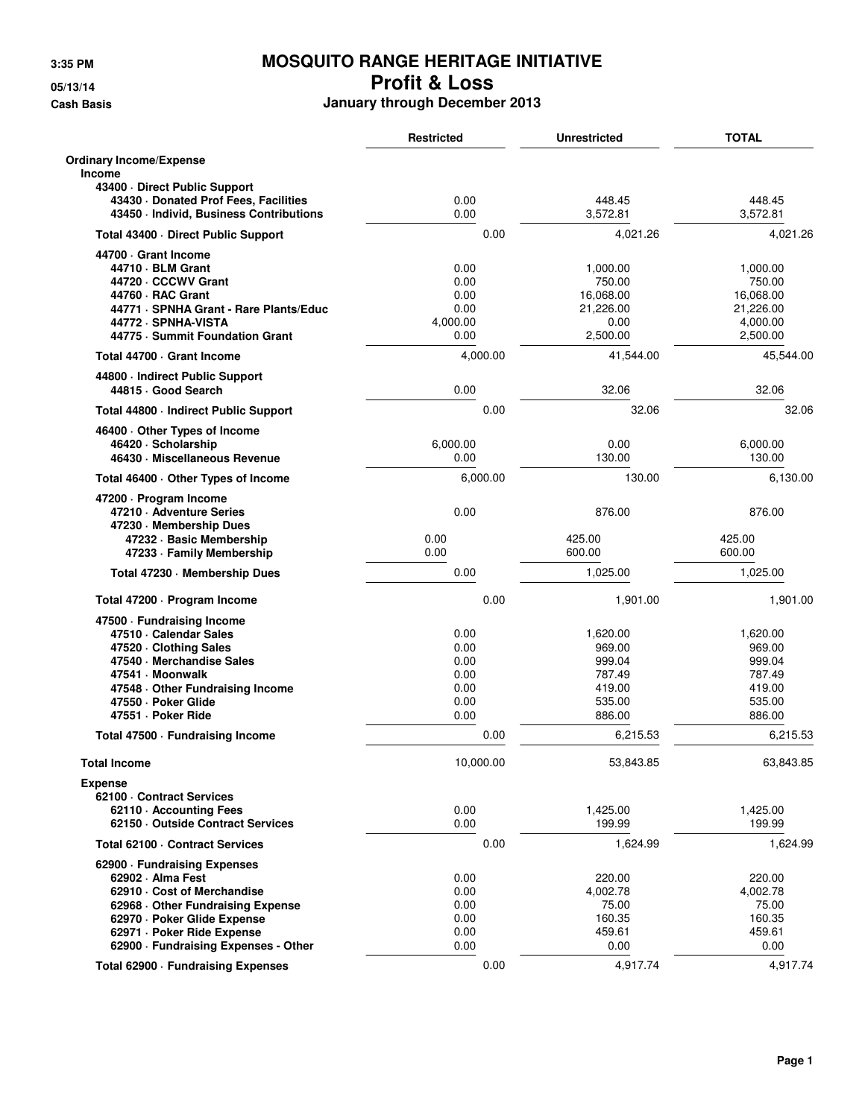## **3:35 PM MOSQUITO RANGE HERITAGE INITIATIVE 05/13/14 Profit & Loss**

**January through December 2013** 

|                                                                                | <b>Restricted</b> | <b>Unrestricted</b> | <b>TOTAL</b>       |
|--------------------------------------------------------------------------------|-------------------|---------------------|--------------------|
| <b>Ordinary Income/Expense</b><br>Income                                       |                   |                     |                    |
| 43400 Direct Public Support                                                    |                   |                     |                    |
| 43430 Donated Prof Fees, Facilities<br>43450 · Individ, Business Contributions | 0.00<br>0.00      | 448.45<br>3,572.81  | 448.45<br>3,572.81 |
| Total 43400 · Direct Public Support                                            | 0.00              | 4.021.26            | 4,021.26           |
|                                                                                |                   |                     |                    |
| 44700 Grant Income<br>44710 - BLM Grant                                        | 0.00              | 1,000.00            | 1,000.00           |
| 44720 - CCCWV Grant                                                            | 0.00              | 750.00              | 750.00             |
| 44760 · RAC Grant                                                              | 0.00              | 16,068.00           | 16,068.00          |
| 44771 · SPNHA Grant - Rare Plants/Educ                                         | 0.00              | 21,226.00           | 21.226.00          |
| 44772 - SPNHA-VISTA                                                            | 4,000.00          | 0.00                | 4,000.00           |
| 44775 · Summit Foundation Grant                                                | 0.00              | 2.500.00            | 2,500.00           |
| Total 44700 · Grant Income                                                     | 4,000.00          | 41,544.00           | 45,544.00          |
| 44800 - Indirect Public Support                                                |                   |                     |                    |
| 44815 Good Search                                                              | 0.00              | 32.06               | 32.06              |
| Total 44800 - Indirect Public Support                                          | 0.00              | 32.06               | 32.06              |
| 46400 Other Types of Income                                                    |                   |                     |                    |
| 46420 · Scholarship                                                            | 6,000.00          | 0.00                | 6,000.00           |
| 46430 · Miscellaneous Revenue                                                  | 0.00              | 130.00              | 130.00             |
| Total 46400 · Other Types of Income                                            | 6,000.00          | 130.00              | 6,130.00           |
| 47200 · Program Income<br>47210 - Adventure Series<br>47230 Membership Dues    | 0.00              | 876.00              | 876.00             |
| 47232 · Basic Membership<br>47233 · Family Membership                          | 0.00<br>0.00      | 425.00<br>600.00    | 425.00<br>600.00   |
| Total 47230 · Membership Dues                                                  | 0.00              | 1,025.00            | 1,025.00           |
| Total 47200 · Program Income                                                   | 0.00              | 1,901.00            | 1,901.00           |
| 47500 · Fundraising Income                                                     |                   |                     |                    |
| 47510 · Calendar Sales                                                         | 0.00              | 1,620.00            | 1,620.00           |
| 47520 Clothing Sales                                                           | 0.00              | 969.00              | 969.00             |
| 47540 Merchandise Sales                                                        | 0.00              | 999.04              | 999.04             |
| 47541 · Moonwalk                                                               | 0.00              | 787.49              | 787.49             |
| 47548 Other Fundraising Income                                                 | 0.00              | 419.00              | 419.00             |
| 47550 · Poker Glide                                                            | 0.00              | 535.00              | 535.00             |
| 47551 Doker Ride                                                               | 0.00              | 886.00              | 886.00             |
| Total 47500 · Fundraising Income                                               | 0.00              | 6,215.53            | 6,215.53           |
| <b>Total Income</b>                                                            | 10,000.00         | 53,843.85           | 63,843.85          |
| <b>Expense</b>                                                                 |                   |                     |                    |
| 62100 Contract Services                                                        |                   |                     |                    |
| 62110 Accounting Fees                                                          | 0.00              | 1,425.00            | 1,425.00           |
| 62150 Outside Contract Services                                                | 0.00              | 199.99              | 199.99             |
| Total 62100 - Contract Services                                                | 0.00              | 1,624.99            | 1,624.99           |
| 62900 Fundraising Expenses                                                     |                   |                     |                    |
| 62902 - Alma Fest                                                              | 0.00              | 220.00              | 220.00             |
| 62910 Cost of Merchandise                                                      | 0.00              | 4,002.78            | 4,002.78           |
| 62968 Other Fundraising Expense                                                | 0.00              | 75.00               | 75.00              |
| 62970 · Poker Glide Expense                                                    | 0.00              | 160.35              | 160.35             |
| 62971 - Poker Ride Expense                                                     | 0.00              | 459.61              | 459.61             |
| 62900 · Fundraising Expenses - Other                                           | 0.00              | 0.00                | 0.00               |
| Total 62900 · Fundraising Expenses                                             | 0.00              | 4,917.74            | 4,917.74           |